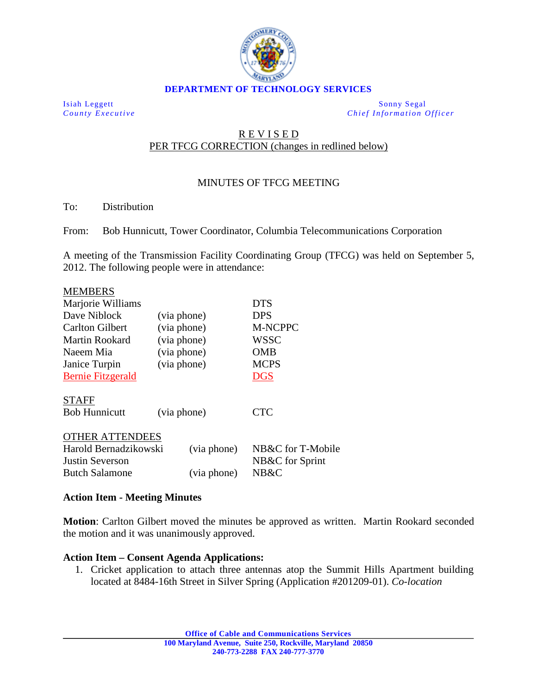

Isiah Leggett Sonny Segal *County Executive Chief Information Officer*

## R E V I S E D PER TFCG CORRECTION (changes in redlined below)

# MINUTES OF TFCG MEETING

#### To: Distribution

From: Bob Hunnicutt, Tower Coordinator, Columbia Telecommunications Corporation

A meeting of the Transmission Facility Coordinating Group (TFCG) was held on September 5, 2012. The following people were in attendance:

### MEMBERS

| Marjorie Williams        |             |             | <b>DTS</b>        |
|--------------------------|-------------|-------------|-------------------|
| Dave Niblock             | (via phone) |             | <b>DPS</b>        |
| Carlton Gilbert          | (via phone) |             | <b>M-NCPPC</b>    |
| <b>Martin Rookard</b>    | (via phone) |             | <b>WSSC</b>       |
| Naeem Mia                | (via phone) |             | OMB               |
| Janice Turpin            | (via phone) |             | <b>MCPS</b>       |
| <b>Bernie Fitzgerald</b> |             |             | <b>DGS</b>        |
| <b>STAFF</b>             |             |             |                   |
| <b>Bob Hunnicutt</b>     | (via phone) |             | <b>CTC</b>        |
| <b>OTHER ATTENDEES</b>   |             |             |                   |
| Harold Bernadzikowski    |             | (via phone) | NB&C for T-Mobile |
| <b>Justin Severson</b>   |             |             | NB&C for Sprint   |
| <b>Butch Salamone</b>    |             | (via phone) | NB&C              |

## **Action Item - Meeting Minutes**

**Motion**: Carlton Gilbert moved the minutes be approved as written. Martin Rookard seconded the motion and it was unanimously approved.

## **Action Item – Consent Agenda Applications:**

1. Cricket application to attach three antennas atop the Summit Hills Apartment building located at 8484-16th Street in Silver Spring (Application #201209-01). *Co-location*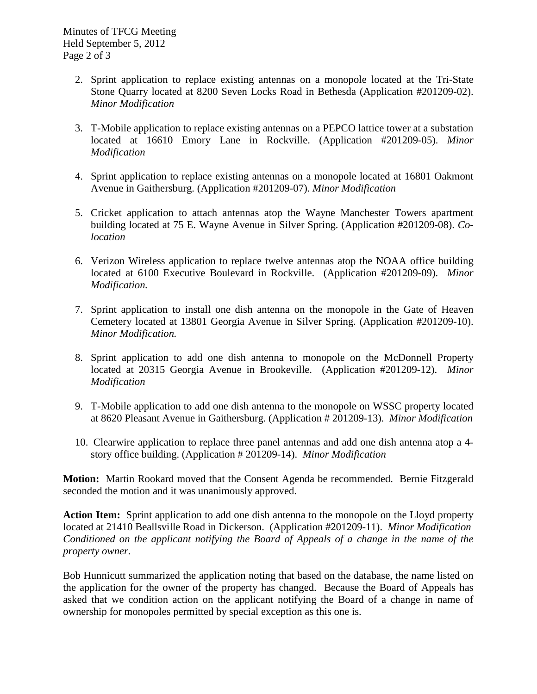- 2. Sprint application to replace existing antennas on a monopole located at the Tri-State Stone Quarry located at 8200 Seven Locks Road in Bethesda (Application #201209-02). *Minor Modification*
- 3. T-Mobile application to replace existing antennas on a PEPCO lattice tower at a substation located at 16610 Emory Lane in Rockville. (Application #201209-05). *Minor Modification*
- 4. Sprint application to replace existing antennas on a monopole located at 16801 Oakmont Avenue in Gaithersburg. (Application #201209-07). *Minor Modification*
- 5. Cricket application to attach antennas atop the Wayne Manchester Towers apartment building located at 75 E. Wayne Avenue in Silver Spring. (Application #201209-08). *Colocation*
- 6. Verizon Wireless application to replace twelve antennas atop the NOAA office building located at 6100 Executive Boulevard in Rockville. (Application #201209-09). *Minor Modification.*
- 7. Sprint application to install one dish antenna on the monopole in the Gate of Heaven Cemetery located at 13801 Georgia Avenue in Silver Spring. (Application #201209-10). *Minor Modification.*
- 8. Sprint application to add one dish antenna to monopole on the McDonnell Property located at 20315 Georgia Avenue in Brookeville. (Application #201209-12). *Minor Modification*
- 9. T-Mobile application to add one dish antenna to the monopole on WSSC property located at 8620 Pleasant Avenue in Gaithersburg. (Application # 201209-13). *Minor Modification*
- 10. Clearwire application to replace three panel antennas and add one dish antenna atop a 4 story office building. (Application # 201209-14). *Minor Modification*

**Motion:** Martin Rookard moved that the Consent Agenda be recommended. Bernie Fitzgerald seconded the motion and it was unanimously approved.

**Action Item:** Sprint application to add one dish antenna to the monopole on the Lloyd property located at 21410 Beallsville Road in Dickerson. (Application #201209-11). *Minor Modification Conditioned on the applicant notifying the Board of Appeals of a change in the name of the property owner.*

Bob Hunnicutt summarized the application noting that based on the database, the name listed on the application for the owner of the property has changed. Because the Board of Appeals has asked that we condition action on the applicant notifying the Board of a change in name of ownership for monopoles permitted by special exception as this one is.